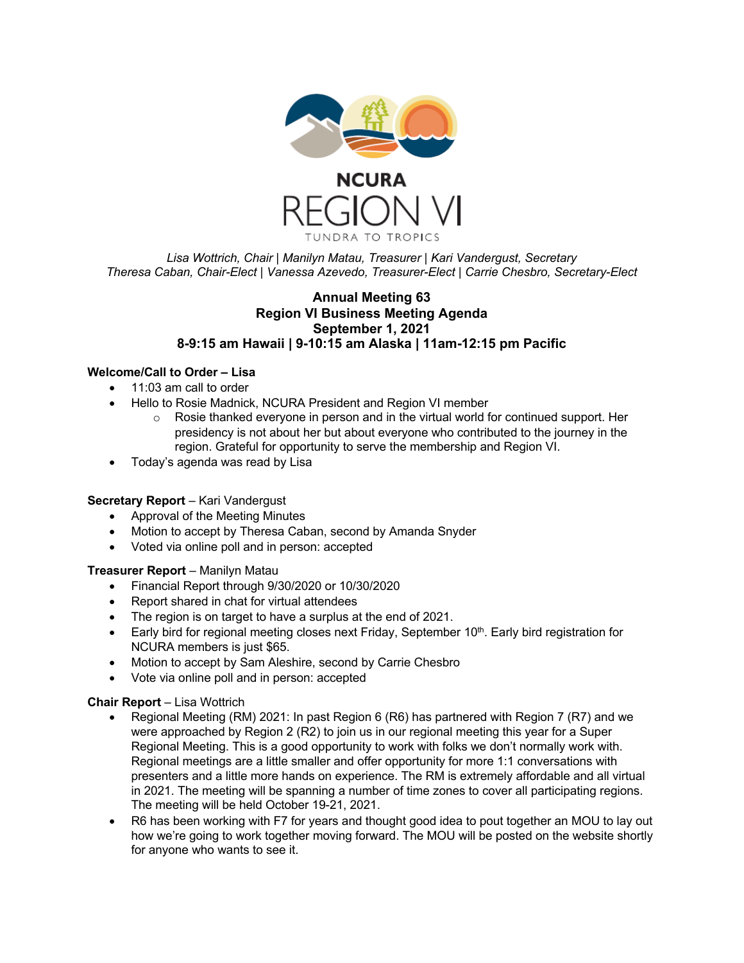

*Lisa Wottrich, Chair | Manilyn Matau, Treasurer | Kari Vandergust, Secretary Theresa Caban, Chair-Elect | Vanessa Azevedo, Treasurer-Elect | Carrie Chesbro, Secretary-Elect*

## **Annual Meeting 63 Region VI Business Meeting Agenda September 1, 2021 8-9:15 am Hawaii | 9-10:15 am Alaska | 11am-12:15 pm Pacific**

# **Welcome/Call to Order – Lisa**

- 11:03 am call to order
- Hello to Rosie Madnick, NCURA President and Region VI member
	- $\circ$  Rosie thanked everyone in person and in the virtual world for continued support. Her presidency is not about her but about everyone who contributed to the journey in the region. Grateful for opportunity to serve the membership and Region VI.
- Today's agenda was read by Lisa

# **Secretary Report** – Kari Vandergust

- Approval of the Meeting Minutes
- Motion to accept by Theresa Caban, second by Amanda Snyder
- Voted via online poll and in person: accepted

# **Treasurer Report** – Manilyn Matau

- Financial Report through 9/30/2020 or 10/30/2020
- Report shared in chat for virtual attendees
- The region is on target to have a surplus at the end of 2021.
- Early bird for regional meeting closes next Friday, September  $10<sup>th</sup>$ . Early bird registration for NCURA members is just \$65.
- Motion to accept by Sam Aleshire, second by Carrie Chesbro
- Vote via online poll and in person: accepted

### **Chair Report** – Lisa Wottrich

- Regional Meeting (RM) 2021: In past Region 6 (R6) has partnered with Region 7 (R7) and we were approached by Region 2 (R2) to join us in our regional meeting this year for a Super Regional Meeting. This is a good opportunity to work with folks we don't normally work with. Regional meetings are a little smaller and offer opportunity for more 1:1 conversations with presenters and a little more hands on experience. The RM is extremely affordable and all virtual in 2021. The meeting will be spanning a number of time zones to cover all participating regions. The meeting will be held October 19-21, 2021.
- R6 has been working with F7 for years and thought good idea to pout together an MOU to lay out how we're going to work together moving forward. The MOU will be posted on the website shortly for anyone who wants to see it.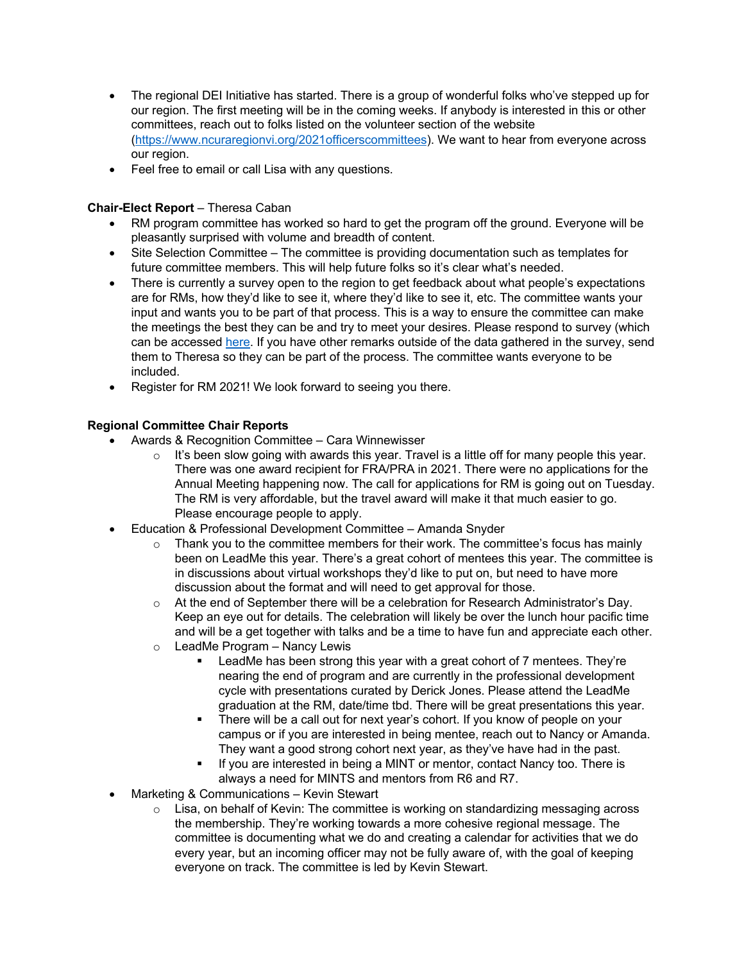- The regional DEI Initiative has started. There is a group of wonderful folks who've stepped up for our region. The first meeting will be in the coming weeks. If anybody is interested in this or other committees, reach out to folks listed on the volunteer section of the website (https://www.ncuraregionvi.org/2021officerscommittees). We want to hear from everyone across our region.
- Feel free to email or call Lisa with any questions.

# **Chair-Elect Report** – Theresa Caban

- RM program committee has worked so hard to get the program off the ground. Everyone will be pleasantly surprised with volume and breadth of content.
- Site Selection Committee The committee is providing documentation such as templates for future committee members. This will help future folks so it's clear what's needed.
- There is currently a survey open to the region to get feedback about what people's expectations are for RMs, how they'd like to see it, where they'd like to see it, etc. The committee wants your input and wants you to be part of that process. This is a way to ensure the committee can make the meetings the best they can be and try to meet your desires. Please respond to survey (which can be accessed here. If you have other remarks outside of the data gathered in the survey, send them to Theresa so they can be part of the process. The committee wants everyone to be included.
- Register for RM 2021! We look forward to seeing you there.

# **Regional Committee Chair Reports**

- Awards & Recognition Committee Cara Winnewisser
	- $\circ$  It's been slow going with awards this year. Travel is a little off for many people this year. There was one award recipient for FRA/PRA in 2021. There were no applications for the Annual Meeting happening now. The call for applications for RM is going out on Tuesday. The RM is very affordable, but the travel award will make it that much easier to go. Please encourage people to apply.
- Education & Professional Development Committee Amanda Snyder
	- $\circ$  Thank you to the committee members for their work. The committee's focus has mainly been on LeadMe this year. There's a great cohort of mentees this year. The committee is in discussions about virtual workshops they'd like to put on, but need to have more discussion about the format and will need to get approval for those.
	- o At the end of September there will be a celebration for Research Administrator's Day. Keep an eye out for details. The celebration will likely be over the lunch hour pacific time and will be a get together with talks and be a time to have fun and appreciate each other.
	- o LeadMe Program Nancy Lewis
		- LeadMe has been strong this year with a great cohort of 7 mentees. They're nearing the end of program and are currently in the professional development cycle with presentations curated by Derick Jones. Please attend the LeadMe graduation at the RM, date/time tbd. There will be great presentations this year.
		- There will be a call out for next year's cohort. If you know of people on your campus or if you are interested in being mentee, reach out to Nancy or Amanda. They want a good strong cohort next year, as they've have had in the past.
		- If you are interested in being a MINT or mentor, contact Nancy too. There is always a need for MINTS and mentors from R6 and R7.
- Marketing & Communications Kevin Stewart
	- o Lisa, on behalf of Kevin: The committee is working on standardizing messaging across the membership. They're working towards a more cohesive regional message. The committee is documenting what we do and creating a calendar for activities that we do every year, but an incoming officer may not be fully aware of, with the goal of keeping everyone on track. The committee is led by Kevin Stewart.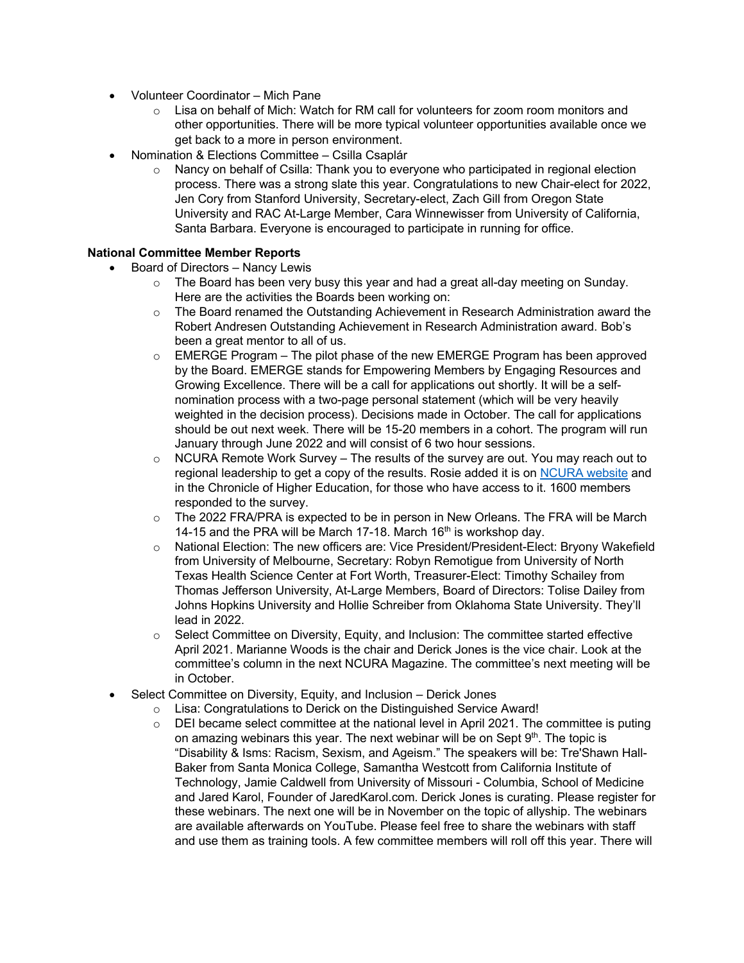- Volunteer Coordinator Mich Pane
	- $\circ$  Lisa on behalf of Mich: Watch for RM call for volunteers for zoom room monitors and other opportunities. There will be more typical volunteer opportunities available once we get back to a more in person environment.
- Nomination & Elections Committee Csilla Csaplár
	- $\circ$  Nancy on behalf of Csilla: Thank you to everyone who participated in regional election process. There was a strong slate this year. Congratulations to new Chair-elect for 2022, Jen Cory from Stanford University, Secretary-elect, Zach Gill from Oregon State University and RAC At-Large Member, Cara Winnewisser from University of California, Santa Barbara. Everyone is encouraged to participate in running for office.

## **National Committee Member Reports**

- Board of Directors Nancy Lewis
	- $\circ$  The Board has been very busy this year and had a great all-day meeting on Sunday. Here are the activities the Boards been working on:
	- $\circ$  The Board renamed the Outstanding Achievement in Research Administration award the Robert Andresen Outstanding Achievement in Research Administration award. Bob's been a great mentor to all of us.
	- $\circ$  EMERGE Program The pilot phase of the new EMERGE Program has been approved by the Board. EMERGE stands for Empowering Members by Engaging Resources and Growing Excellence. There will be a call for applications out shortly. It will be a selfnomination process with a two-page personal statement (which will be very heavily weighted in the decision process). Decisions made in October. The call for applications should be out next week. There will be 15-20 members in a cohort. The program will run January through June 2022 and will consist of 6 two hour sessions.
	- $\circ$  NCURA Remote Work Survey The results of the survey are out. You may reach out to regional leadership to get a copy of the results. Rosie added it is on NCURA website and in the Chronicle of Higher Education, for those who have access to it. 1600 members responded to the survey.
	- $\circ$  The 2022 FRA/PRA is expected to be in person in New Orleans. The FRA will be March 14-15 and the PRA will be March 17-18. March  $16<sup>th</sup>$  is workshop day.
	- o National Election: The new officers are: Vice President/President-Elect: Bryony Wakefield from University of Melbourne, Secretary: Robyn Remotigue from University of North Texas Health Science Center at Fort Worth, Treasurer-Elect: Timothy Schailey from Thomas Jefferson University, At-Large Members, Board of Directors: Tolise Dailey from Johns Hopkins University and Hollie Schreiber from Oklahoma State University. They'll lead in 2022.
	- o Select Committee on Diversity, Equity, and Inclusion: The committee started effective April 2021. Marianne Woods is the chair and Derick Jones is the vice chair. Look at the committee's column in the next NCURA Magazine. The committee's next meeting will be in October.
- Select Committee on Diversity, Equity, and Inclusion Derick Jones
	- o Lisa: Congratulations to Derick on the Distinguished Service Award!<br>
	o DEI became select committee at the national level in April 2021. The
	- DEI became select committee at the national level in April 2021. The committee is puting on amazing webinars this year. The next webinar will be on Sept 9<sup>th</sup>. The topic is "Disability & Isms: Racism, Sexism, and Ageism." The speakers will be: Tre'Shawn Hall-Baker from Santa Monica College, Samantha Westcott from California Institute of Technology, Jamie Caldwell from University of Missouri - Columbia, School of Medicine and Jared Karol, Founder of JaredKarol.com. Derick Jones is curating. Please register for these webinars. The next one will be in November on the topic of allyship. The webinars are available afterwards on YouTube. Please feel free to share the webinars with staff and use them as training tools. A few committee members will roll off this year. There will